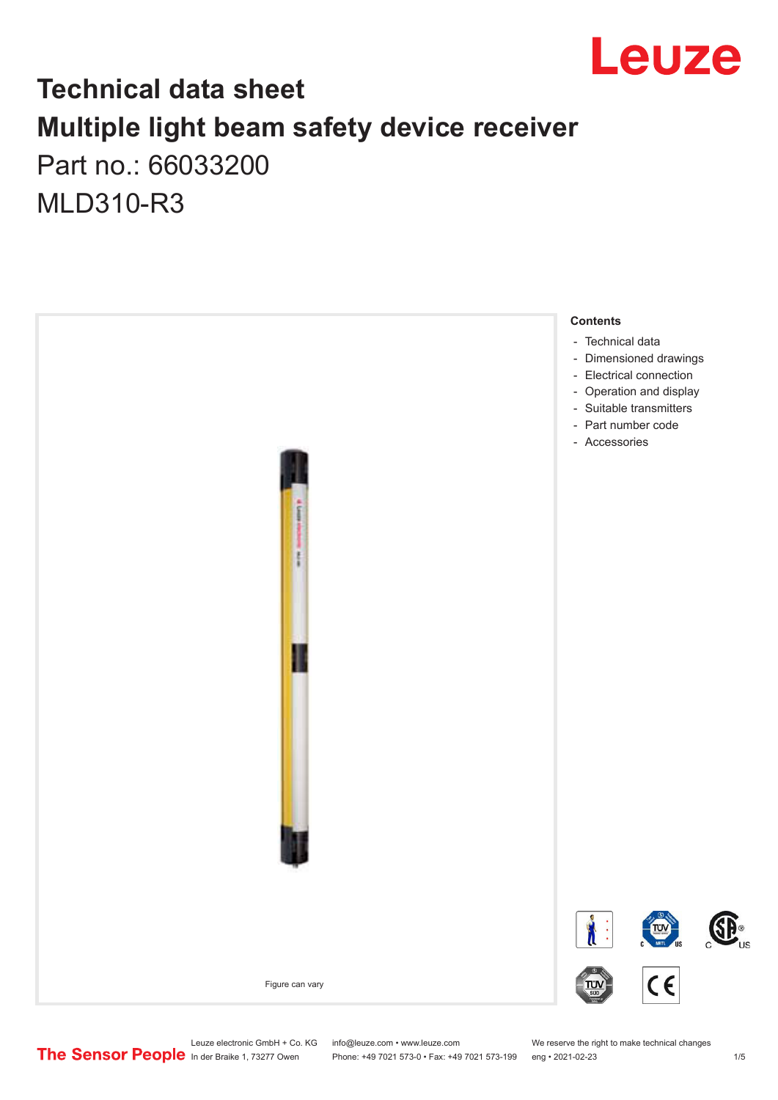

## **Technical data sheet Multiple light beam safety device receiver** Part no.: 66033200

MLD310-R3



Leuze electronic GmbH + Co. KG info@leuze.com • www.leuze.com We reserve the right to make technical changes<br>
The Sensor People in der Braike 1, 73277 Owen Phone: +49 7021 573-0 • Fax: +49 7021 573-199 eng • 2021-02-23

Phone: +49 7021 573-0 • Fax: +49 7021 573-199 eng • 2021-02-23 1 /5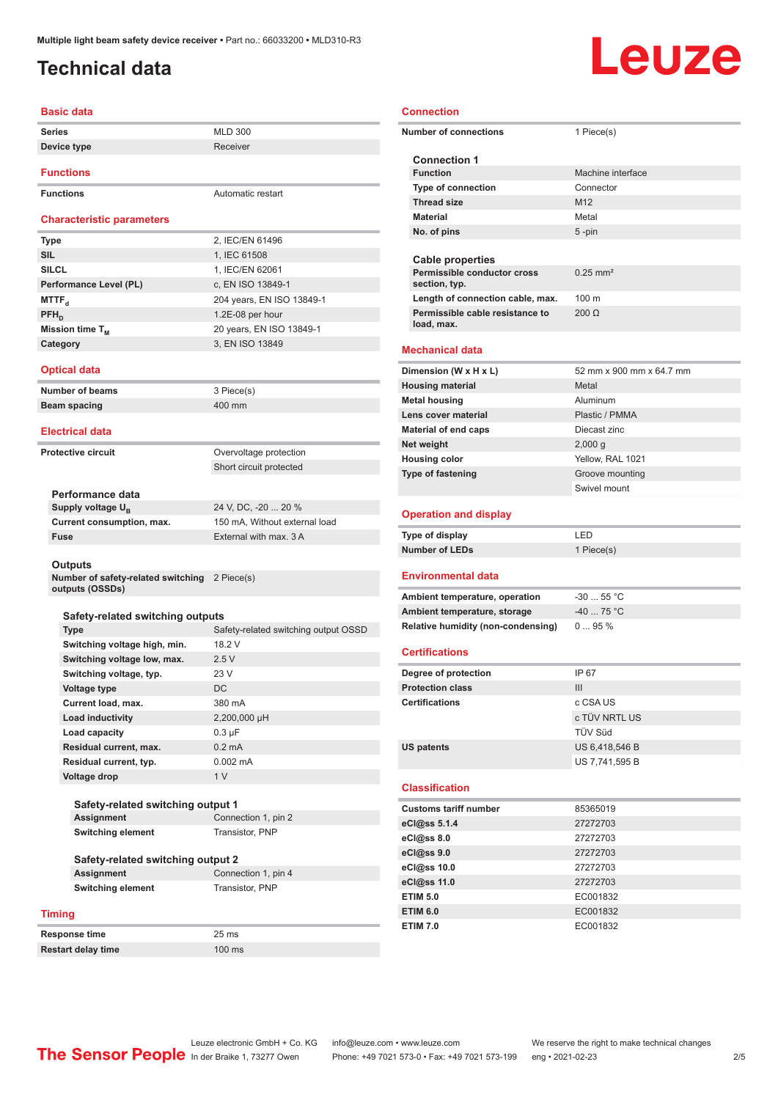## <span id="page-1-0"></span>**Technical data**

### **Basic data**

| <b>Series</b>                    | <b>MLD 300</b>    |
|----------------------------------|-------------------|
| Device type                      | Receiver          |
| <b>Functions</b>                 |                   |
| <b>Functions</b>                 | Automatic restart |
| <b>Characteristic parameters</b> |                   |

| <b>Type</b>            | 2, IEC/EN 61496           |
|------------------------|---------------------------|
| <b>SIL</b>             | 1, IEC 61508              |
| <b>SILCL</b>           | 1, IEC/EN 62061           |
| Performance Level (PL) | c, EN ISO 13849-1         |
| MTTF <sub>a</sub>      | 204 years, EN ISO 13849-1 |
| $PFH_n$                | 1.2E-08 per hour          |
| Mission time $T_M$     | 20 years, EN ISO 13849-1  |
| Category               | 3, EN ISO 13849           |

### **Optical data**

**Number of beams** 3 Piece(s) **Beam spacing 400 mm** 

#### **Electrical data**

**Protective circuit COVER COVER COVER COVER COVER COVER COVER COVER COVER COVER COVER COVER COVER COVER COVER** 

Short circuit protected

### **Performance data**

Supply voltage U<sub>B</sub><br>Current consumption, max.

24 V, DC, -20 ... 20 % 150 mA, Without external load **Fuse** External with max. 3 A

#### **Outputs**

**Number of safety-related switching**  2 Piece(s) **outputs (OSSDs)**

### **Safety-related switching outputs**

| <b>Type</b>                  | Safety-related switching output OSSD |
|------------------------------|--------------------------------------|
| Switching voltage high, min. | 18.2 V                               |
| Switching voltage low, max.  | 2.5V                                 |
| Switching voltage, typ.      | 23V                                  |
| Voltage type                 | DC.                                  |
| Current load, max.           | 380 mA                               |
| Load inductivity             | 2,200,000 µH                         |
| Load capacity                | $0.3 \mu F$                          |
| Residual current, max.       | $0.2 \text{ mA}$                     |
| Residual current, typ.       | $0.002 \, \text{mA}$                 |
| Voltage drop                 | 1 <sub>V</sub>                       |

### **Safety-related switching output 1 Assignment** Connection 1, pin 2 **Switching element** Transistor, PNP

### **Safety-related switching output 2 Assignment** Connection 1, pin 4

**Switching element** Transistor, PNP

**Timing**

**Response time** 25 ms

**Restart delay time** 100 ms

### **Connection**

| <b>Connection</b>                             |                          |  |  |
|-----------------------------------------------|--------------------------|--|--|
| <b>Number of connections</b>                  | 1 Piece(s)               |  |  |
| <b>Connection 1</b>                           |                          |  |  |
| <b>Function</b>                               | Machine interface        |  |  |
| <b>Type of connection</b>                     | Connector                |  |  |
| <b>Thread size</b>                            | M12                      |  |  |
| <b>Material</b>                               | Metal                    |  |  |
| No. of pins                                   | 5 -pin                   |  |  |
|                                               |                          |  |  |
| <b>Cable properties</b>                       |                          |  |  |
| Permissible conductor cross<br>section, typ.  | $0.25$ mm <sup>2</sup>   |  |  |
| Length of connection cable, max.              | 100 m                    |  |  |
| Permissible cable resistance to<br>load, max. | $200 \Omega$             |  |  |
| <b>Mechanical data</b>                        |                          |  |  |
| Dimension (W x H x L)                         | 52 mm x 900 mm x 64.7 mm |  |  |
| <b>Housing material</b>                       | Metal                    |  |  |
| <b>Metal housing</b>                          | Aluminum                 |  |  |
| Lens cover material                           | Plastic / PMMA           |  |  |
| <b>Material of end caps</b>                   | Diecast zinc             |  |  |
| Net weight                                    | 2,000 g                  |  |  |
| <b>Housing color</b>                          | Yellow, RAL 1021         |  |  |
| <b>Type of fastening</b>                      | Groove mounting          |  |  |
|                                               | Swivel mount             |  |  |
|                                               |                          |  |  |
| <b>Operation and display</b>                  |                          |  |  |
| Type of display                               | LED                      |  |  |
| <b>Number of LEDs</b>                         | 1 Piece(s)               |  |  |
| <b>Environmental data</b>                     |                          |  |  |
| Ambient temperature, operation                | $-30$ 55 °C              |  |  |
| Ambient temperature, storage                  | $-40$ 75 °C              |  |  |
| Relative humidity (non-condensing)            | 095%                     |  |  |
| <b>Certifications</b>                         |                          |  |  |
| Degree of protection                          | IP 67                    |  |  |
| <b>Protection class</b>                       | Ш                        |  |  |
| <b>Certifications</b>                         | c CSA US                 |  |  |
|                                               | c TÜV NRTL US            |  |  |
|                                               | TÜV Süd                  |  |  |
| <b>US patents</b>                             | US 6,418,546 B           |  |  |
|                                               | US 7,741,595 B           |  |  |
|                                               |                          |  |  |

### **Classification**

j.

| <b>Customs tariff number</b> | 85365019 |
|------------------------------|----------|
| eCl@ss 5.1.4                 | 27272703 |
| eCl@ss 8.0                   | 27272703 |
| eCl@ss 9.0                   | 27272703 |
| eCl@ss 10.0                  | 27272703 |
| eCl@ss 11.0                  | 27272703 |
| <b>ETIM 5.0</b>              | EC001832 |
| <b>ETIM 6.0</b>              | EC001832 |
| <b>ETIM 7.0</b>              | EC001832 |

# Leuze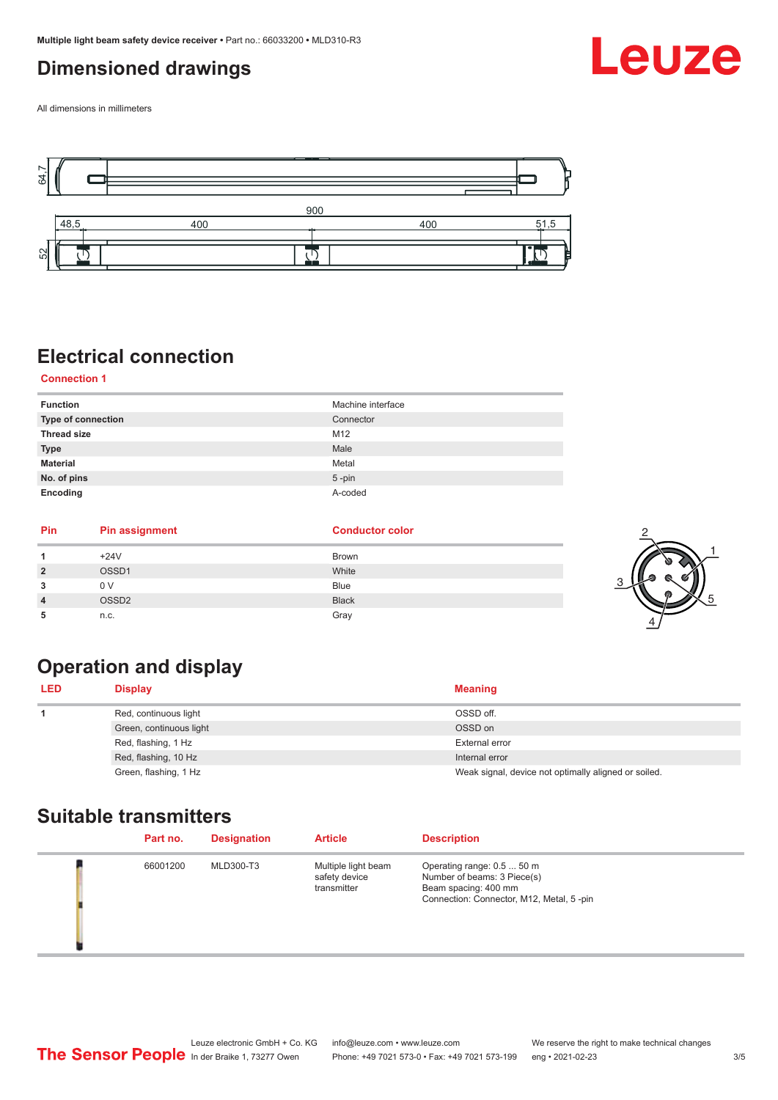## <span id="page-2-0"></span>**Dimensioned drawings**

All dimensions in millimeters



## **Electrical connection**

**Connection 1**

| <b>Function</b>    | Machine interface |
|--------------------|-------------------|
| Type of connection | Connector         |
| <b>Thread size</b> | M12               |
| <b>Type</b>        | Male              |
| <b>Material</b>    | Metal             |
| No. of pins        | $5$ -pin          |
| Encoding           | A-coded           |

| Pin            | <b>Pin assignment</b> | <b>Conductor color</b> |  |
|----------------|-----------------------|------------------------|--|
|                | $+24V$                | Brown                  |  |
| $\overline{2}$ | OSSD1                 | White                  |  |
| 3              | 0 V                   | Blue                   |  |
| 4              | OSSD <sub>2</sub>     | <b>Black</b>           |  |
| 5              | n.c.                  | Gray                   |  |

## **Operation and display**

| <b>LED</b> | <b>Display</b>          | <b>Meaning</b>                                       |
|------------|-------------------------|------------------------------------------------------|
|            | Red, continuous light   | OSSD off.                                            |
|            | Green, continuous light | OSSD on                                              |
|            | Red, flashing, 1 Hz     | External error                                       |
|            | Red, flashing, 10 Hz    | Internal error                                       |
|            | Green, flashing, 1 Hz   | Weak signal, device not optimally aligned or soiled. |

## **Suitable transmitters**

| Part no. | <b>Designation</b> | <b>Article</b>                                      | <b>Description</b>                                                                                                            |
|----------|--------------------|-----------------------------------------------------|-------------------------------------------------------------------------------------------------------------------------------|
| 66001200 | MLD300-T3          | Multiple light beam<br>safety device<br>transmitter | Operating range: 0.5  50 m<br>Number of beams: 3 Piece(s)<br>Beam spacing: 400 mm<br>Connection: Connector, M12, Metal, 5-pin |

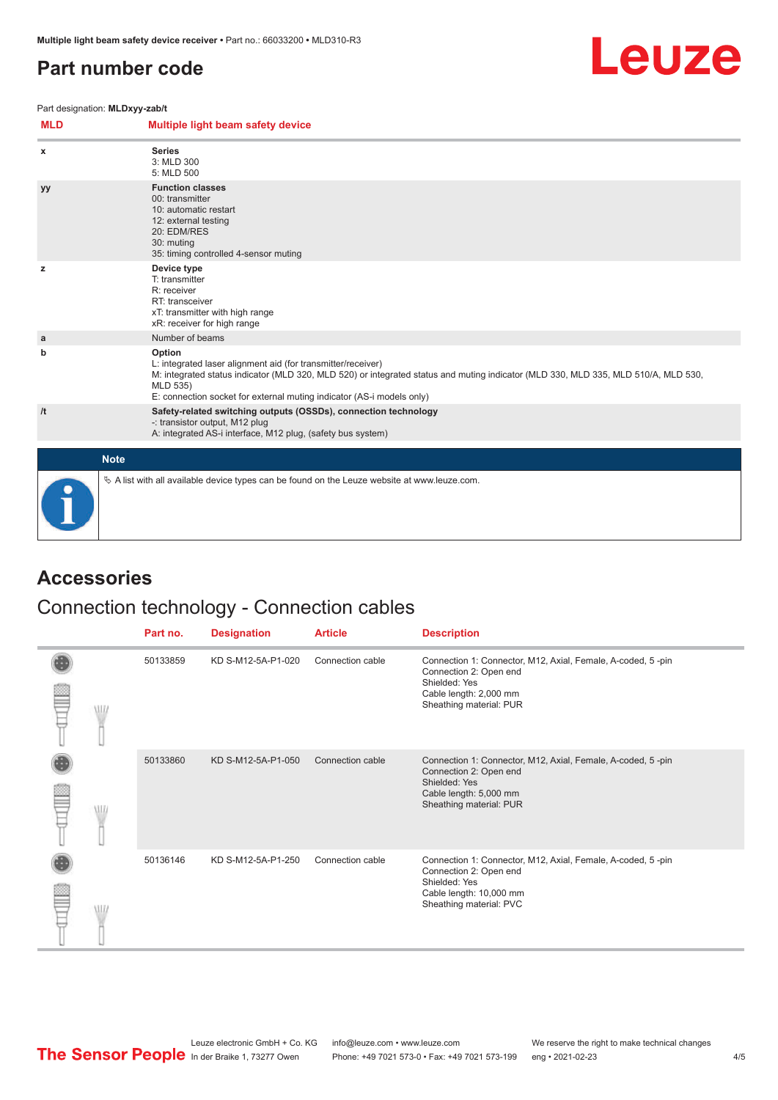## <span id="page-3-0"></span>**Part number code**



Part designation: **MLDxyy-zab/t**

| <b>MLD</b> | Multiple light beam safety device                                                                                                                                                                                                                                                                 |
|------------|---------------------------------------------------------------------------------------------------------------------------------------------------------------------------------------------------------------------------------------------------------------------------------------------------|
| x          | <b>Series</b><br>3: MLD 300<br>5: MLD 500                                                                                                                                                                                                                                                         |
| yу         | <b>Function classes</b><br>00: transmitter<br>10: automatic restart<br>12: external testing<br>20: EDM/RES<br>30: muting<br>35: timing controlled 4-sensor muting                                                                                                                                 |
| z          | Device type<br>T: transmitter<br>R: receiver<br>RT: transceiver<br>xT: transmitter with high range<br>xR: receiver for high range                                                                                                                                                                 |
| a          | Number of beams                                                                                                                                                                                                                                                                                   |
| b          | Option<br>L: integrated laser alignment aid (for transmitter/receiver)<br>M: integrated status indicator (MLD 320, MLD 520) or integrated status and muting indicator (MLD 330, MLD 335, MLD 510/A, MLD 530,<br>MLD 535)<br>E: connection socket for external muting indicator (AS-i models only) |
| /t         | Safety-related switching outputs (OSSDs), connection technology<br>-: transistor output, M12 plug<br>A: integrated AS-i interface, M12 plug, (safety bus system)                                                                                                                                  |
|            | <b>Note</b>                                                                                                                                                                                                                                                                                       |
|            | $\&$ A list with all available device types can be found on the Leuze website at www.leuze.com.                                                                                                                                                                                                   |

## **Accessories**

## Connection technology - Connection cables

|   | Part no. | <b>Designation</b> | <b>Article</b>   | <b>Description</b>                                                                                                                                           |
|---|----------|--------------------|------------------|--------------------------------------------------------------------------------------------------------------------------------------------------------------|
| W | 50133859 | KD S-M12-5A-P1-020 | Connection cable | Connection 1: Connector, M12, Axial, Female, A-coded, 5-pin<br>Connection 2: Open end<br>Shielded: Yes<br>Cable length: 2,000 mm<br>Sheathing material: PUR  |
|   | 50133860 | KD S-M12-5A-P1-050 | Connection cable | Connection 1: Connector, M12, Axial, Female, A-coded, 5-pin<br>Connection 2: Open end<br>Shielded: Yes<br>Cable length: 5,000 mm<br>Sheathing material: PUR  |
|   | 50136146 | KD S-M12-5A-P1-250 | Connection cable | Connection 1: Connector, M12, Axial, Female, A-coded, 5-pin<br>Connection 2: Open end<br>Shielded: Yes<br>Cable length: 10,000 mm<br>Sheathing material: PVC |